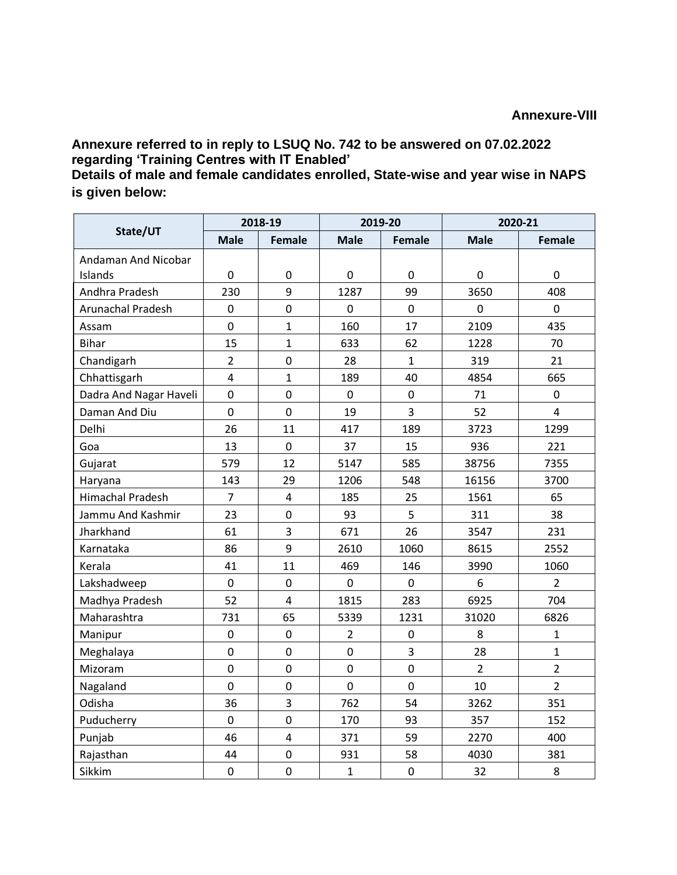**Annexure referred to in reply to LSUQ No. 742 to be answered on 07.02.2022 regarding 'Training Centres with IT Enabled'**

**Details of male and female candidates enrolled, State-wise and year wise in NAPS is given below:**

| State/UT                 | 2018-19        |                  | 2019-20        |                | 2020-21        |                |
|--------------------------|----------------|------------------|----------------|----------------|----------------|----------------|
|                          | <b>Male</b>    | <b>Female</b>    | <b>Male</b>    | <b>Female</b>  | <b>Male</b>    | Female         |
| Andaman And Nicobar      |                |                  |                |                |                |                |
| Islands                  | 0              | $\boldsymbol{0}$ | 0              | 0              | $\mathbf 0$    | 0              |
| Andhra Pradesh           | 230            | 9                | 1287           | 99             | 3650           | 408            |
| <b>Arunachal Pradesh</b> | $\mathbf 0$    | $\overline{0}$   | $\mathbf 0$    | $\overline{0}$ | $\mathbf 0$    | $\overline{0}$ |
| Assam                    | $\pmb{0}$      | $\mathbf{1}$     | 160            | 17             | 2109           | 435            |
| <b>Bihar</b>             | 15             | $\mathbf{1}$     | 633            | 62             | 1228           | 70             |
| Chandigarh               | $\overline{2}$ | $\mathbf 0$      | 28             | $\mathbf{1}$   | 319            | 21             |
| Chhattisgarh             | $\overline{4}$ | $\mathbf{1}$     | 189            | 40             | 4854           | 665            |
| Dadra And Nagar Haveli   | $\pmb{0}$      | $\mathbf 0$      | $\pmb{0}$      | 0              | 71             | 0              |
| Daman And Diu            | $\mathbf 0$    | $\mathbf 0$      | 19             | 3              | 52             | $\overline{4}$ |
| Delhi                    | 26             | 11               | 417            | 189            | 3723           | 1299           |
| Goa                      | 13             | $\mathbf 0$      | 37             | 15             | 936            | 221            |
| Gujarat                  | 579            | 12               | 5147           | 585            | 38756          | 7355           |
| Haryana                  | 143            | 29               | 1206           | 548            | 16156          | 3700           |
| Himachal Pradesh         | $\overline{7}$ | $\overline{4}$   | 185            | 25             | 1561           | 65             |
| Jammu And Kashmir        | 23             | $\overline{0}$   | 93             | 5              | 311            | 38             |
| Jharkhand                | 61             | 3                | 671            | 26             | 3547           | 231            |
| Karnataka                | 86             | 9                | 2610           | 1060           | 8615           | 2552           |
| Kerala                   | 41             | 11               | 469            | 146            | 3990           | 1060           |
| Lakshadweep              | 0              | $\mathbf 0$      | $\mathbf 0$    | $\mathbf 0$    | 6              | $\overline{2}$ |
| Madhya Pradesh           | 52             | $\overline{4}$   | 1815           | 283            | 6925           | 704            |
| Maharashtra              | 731            | 65               | 5339           | 1231           | 31020          | 6826           |
| Manipur                  | $\mathbf 0$    | $\mathbf 0$      | $\overline{2}$ | $\pmb{0}$      | 8              | $\mathbf{1}$   |
| Meghalaya                | $\mathbf 0$    | $\mathbf 0$      | $\mathbf 0$    | 3              | 28             | $\mathbf{1}$   |
| Mizoram                  | $\mathbf 0$    | $\mathbf 0$      | $\mathbf 0$    | $\pmb{0}$      | $\overline{2}$ | $\overline{2}$ |
| Nagaland                 | $\mathbf 0$    | $\mathbf 0$      | $\overline{0}$ | $\mathbf 0$    | 10             | $\overline{2}$ |
| Odisha                   | 36             | 3                | 762            | 54             | 3262           | 351            |
| Puducherry               | 0              | $\mathbf 0$      | 170            | 93             | 357            | 152            |
| Punjab                   | 46             | $\pmb{4}$        | 371            | 59             | 2270           | 400            |
| Rajasthan                | 44             | $\mathbf 0$      | 931            | 58             | 4030           | 381            |
| Sikkim                   | $\mathbf 0$    | $\mathbf 0$      | $\mathbf{1}$   | $\pmb{0}$      | 32             | 8              |